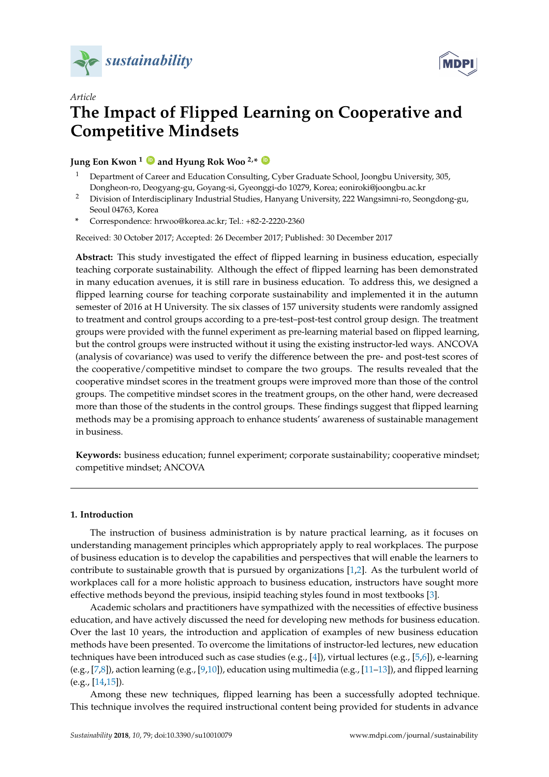



# *Article* **The Impact of Flipped Learning on Cooperative and Competitive Mindsets**

## **Jung Eon Kwon <sup>1</sup> [ID](https://orcid.org/0000-0003-0070-203X) and Hyung Rok Woo 2,\* [ID](https://orcid.org/0000-0003-0580-4836)**

- <sup>1</sup> Department of Career and Education Consulting, Cyber Graduate School, Joongbu University, 305, Dongheon-ro, Deogyang-gu, Goyang-si, Gyeonggi-do 10279, Korea; eoniroki@joongbu.ac.kr
- <sup>2</sup> Division of Interdisciplinary Industrial Studies, Hanyang University, 222 Wangsimni-ro, Seongdong-gu, Seoul 04763, Korea
- **\*** Correspondence: hrwoo@korea.ac.kr; Tel.: +82-2-2220-2360

Received: 30 October 2017; Accepted: 26 December 2017; Published: 30 December 2017

**Abstract:** This study investigated the effect of flipped learning in business education, especially teaching corporate sustainability. Although the effect of flipped learning has been demonstrated in many education avenues, it is still rare in business education. To address this, we designed a flipped learning course for teaching corporate sustainability and implemented it in the autumn semester of 2016 at H University. The six classes of 157 university students were randomly assigned to treatment and control groups according to a pre-test–post-test control group design. The treatment groups were provided with the funnel experiment as pre-learning material based on flipped learning, but the control groups were instructed without it using the existing instructor-led ways. ANCOVA (analysis of covariance) was used to verify the difference between the pre- and post-test scores of the cooperative/competitive mindset to compare the two groups. The results revealed that the cooperative mindset scores in the treatment groups were improved more than those of the control groups. The competitive mindset scores in the treatment groups, on the other hand, were decreased more than those of the students in the control groups. These findings suggest that flipped learning methods may be a promising approach to enhance students' awareness of sustainable management in business.

**Keywords:** business education; funnel experiment; corporate sustainability; cooperative mindset; competitive mindset; ANCOVA

### **1. Introduction**

The instruction of business administration is by nature practical learning, as it focuses on understanding management principles which appropriately apply to real workplaces. The purpose of business education is to develop the capabilities and perspectives that will enable the learners to contribute to sustainable growth that is pursued by organizations [\[1,](#page-10-0)[2\]](#page-10-1). As the turbulent world of workplaces call for a more holistic approach to business education, instructors have sought more effective methods beyond the previous, insipid teaching styles found in most textbooks [\[3\]](#page-11-0).

Academic scholars and practitioners have sympathized with the necessities of effective business education, and have actively discussed the need for developing new methods for business education. Over the last 10 years, the introduction and application of examples of new business education methods have been presented. To overcome the limitations of instructor-led lectures, new education techniques have been introduced such as case studies (e.g., [\[4\]](#page-11-1)), virtual lectures (e.g., [\[5](#page-11-2)[,6\]](#page-11-3)), e-learning (e.g.,  $[7,8]$  $[7,8]$ ), action learning (e.g.,  $[9,10]$  $[9,10]$ ), education using multimedia (e.g.,  $[11-13]$  $[11-13]$ ), and flipped learning (e.g., [\[14,](#page-11-10)[15\]](#page-11-11)).

Among these new techniques, flipped learning has been a successfully adopted technique. This technique involves the required instructional content being provided for students in advance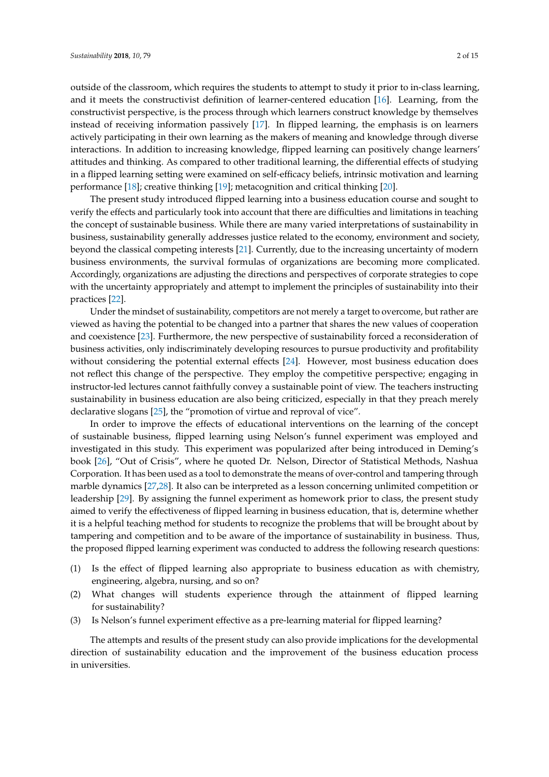outside of the classroom, which requires the students to attempt to study it prior to in-class learning, and it meets the constructivist definition of learner-centered education [\[16\]](#page-11-12). Learning, from the constructivist perspective, is the process through which learners construct knowledge by themselves instead of receiving information passively [\[17\]](#page-11-13). In flipped learning, the emphasis is on learners actively participating in their own learning as the makers of meaning and knowledge through diverse interactions. In addition to increasing knowledge, flipped learning can positively change learners' attitudes and thinking. As compared to other traditional learning, the differential effects of studying in a flipped learning setting were examined on self-efficacy beliefs, intrinsic motivation and learning performance [\[18\]](#page-11-14); creative thinking [\[19\]](#page-11-15); metacognition and critical thinking [\[20\]](#page-11-16).

The present study introduced flipped learning into a business education course and sought to verify the effects and particularly took into account that there are difficulties and limitations in teaching the concept of sustainable business. While there are many varied interpretations of sustainability in business, sustainability generally addresses justice related to the economy, environment and society, beyond the classical competing interests [\[21\]](#page-11-17). Currently, due to the increasing uncertainty of modern business environments, the survival formulas of organizations are becoming more complicated. Accordingly, organizations are adjusting the directions and perspectives of corporate strategies to cope with the uncertainty appropriately and attempt to implement the principles of sustainability into their practices [\[22\]](#page-11-18).

Under the mindset of sustainability, competitors are not merely a target to overcome, but rather are viewed as having the potential to be changed into a partner that shares the new values of cooperation and coexistence [\[23\]](#page-11-19). Furthermore, the new perspective of sustainability forced a reconsideration of business activities, only indiscriminately developing resources to pursue productivity and profitability without considering the potential external effects [\[24\]](#page-11-20). However, most business education does not reflect this change of the perspective. They employ the competitive perspective; engaging in instructor-led lectures cannot faithfully convey a sustainable point of view. The teachers instructing sustainability in business education are also being criticized, especially in that they preach merely declarative slogans [\[25\]](#page-11-21), the "promotion of virtue and reproval of vice".

In order to improve the effects of educational interventions on the learning of the concept of sustainable business, flipped learning using Nelson's funnel experiment was employed and investigated in this study. This experiment was popularized after being introduced in Deming's book [\[26\]](#page-11-22), "Out of Crisis", where he quoted Dr. Nelson, Director of Statistical Methods, Nashua Corporation. It has been used as a tool to demonstrate the means of over-control and tampering through marble dynamics [\[27](#page-12-0)[,28\]](#page-12-1). It also can be interpreted as a lesson concerning unlimited competition or leadership [\[29\]](#page-12-2). By assigning the funnel experiment as homework prior to class, the present study aimed to verify the effectiveness of flipped learning in business education, that is, determine whether it is a helpful teaching method for students to recognize the problems that will be brought about by tampering and competition and to be aware of the importance of sustainability in business. Thus, the proposed flipped learning experiment was conducted to address the following research questions:

- (1) Is the effect of flipped learning also appropriate to business education as with chemistry, engineering, algebra, nursing, and so on?
- (2) What changes will students experience through the attainment of flipped learning for sustainability?
- (3) Is Nelson's funnel experiment effective as a pre-learning material for flipped learning?

The attempts and results of the present study can also provide implications for the developmental direction of sustainability education and the improvement of the business education process in universities.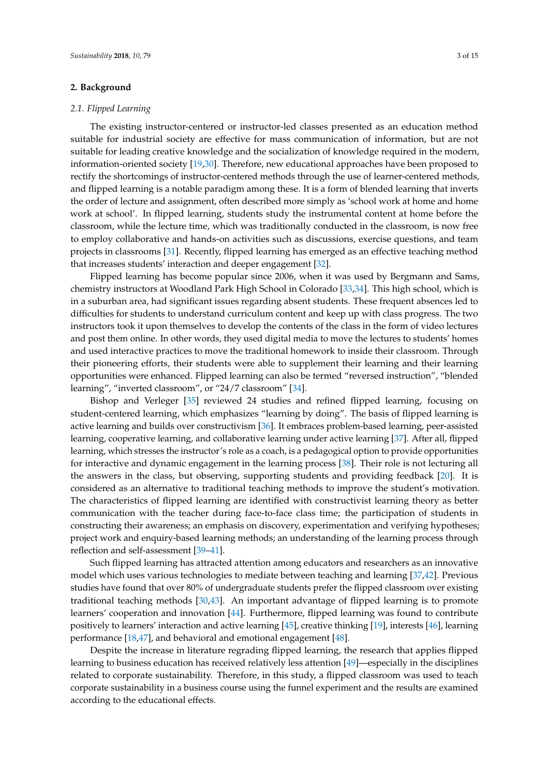#### **2. Background**

#### *2.1. Flipped Learning*

The existing instructor-centered or instructor-led classes presented as an education method suitable for industrial society are effective for mass communication of information, but are not suitable for leading creative knowledge and the socialization of knowledge required in the modern, information-oriented society [\[19](#page-11-15)[,30\]](#page-12-3). Therefore, new educational approaches have been proposed to rectify the shortcomings of instructor-centered methods through the use of learner-centered methods, and flipped learning is a notable paradigm among these. It is a form of blended learning that inverts the order of lecture and assignment, often described more simply as 'school work at home and home work at school'. In flipped learning, students study the instrumental content at home before the classroom, while the lecture time, which was traditionally conducted in the classroom, is now free to employ collaborative and hands-on activities such as discussions, exercise questions, and team projects in classrooms [\[31\]](#page-12-4). Recently, flipped learning has emerged as an effective teaching method that increases students' interaction and deeper engagement [\[32\]](#page-12-5).

Flipped learning has become popular since 2006, when it was used by Bergmann and Sams, chemistry instructors at Woodland Park High School in Colorado [\[33,](#page-12-6)[34\]](#page-12-7). This high school, which is in a suburban area, had significant issues regarding absent students. These frequent absences led to difficulties for students to understand curriculum content and keep up with class progress. The two instructors took it upon themselves to develop the contents of the class in the form of video lectures and post them online. In other words, they used digital media to move the lectures to students' homes and used interactive practices to move the traditional homework to inside their classroom. Through their pioneering efforts, their students were able to supplement their learning and their learning opportunities were enhanced. Flipped learning can also be termed "reversed instruction", "blended learning", "inverted classroom", or "24/7 classroom" [\[34\]](#page-12-7).

Bishop and Verleger [\[35\]](#page-12-8) reviewed 24 studies and refined flipped learning, focusing on student-centered learning, which emphasizes "learning by doing". The basis of flipped learning is active learning and builds over constructivism [\[36\]](#page-12-9). It embraces problem-based learning, peer-assisted learning, cooperative learning, and collaborative learning under active learning [\[37\]](#page-12-10). After all, flipped learning, which stresses the instructor's role as a coach, is a pedagogical option to provide opportunities for interactive and dynamic engagement in the learning process [\[38\]](#page-12-11). Their role is not lecturing all the answers in the class, but observing, supporting students and providing feedback [\[20\]](#page-11-16). It is considered as an alternative to traditional teaching methods to improve the student's motivation. The characteristics of flipped learning are identified with constructivist learning theory as better communication with the teacher during face-to-face class time; the participation of students in constructing their awareness; an emphasis on discovery, experimentation and verifying hypotheses; project work and enquiry-based learning methods; an understanding of the learning process through reflection and self-assessment [\[39](#page-12-12)[–41\]](#page-12-13).

Such flipped learning has attracted attention among educators and researchers as an innovative model which uses various technologies to mediate between teaching and learning [\[37](#page-12-10)[,42\]](#page-12-14). Previous studies have found that over 80% of undergraduate students prefer the flipped classroom over existing traditional teaching methods [\[30,](#page-12-3)[43\]](#page-12-15). An important advantage of flipped learning is to promote learners' cooperation and innovation [\[44\]](#page-12-16). Furthermore, flipped learning was found to contribute positively to learners' interaction and active learning [\[45\]](#page-12-17), creative thinking [\[19\]](#page-11-15), interests [\[46\]](#page-12-18), learning performance [\[18,](#page-11-14)[47\]](#page-12-19), and behavioral and emotional engagement [\[48\]](#page-12-20).

Despite the increase in literature regrading flipped learning, the research that applies flipped learning to business education has received relatively less attention [\[49\]](#page-12-21)—especially in the disciplines related to corporate sustainability. Therefore, in this study, a flipped classroom was used to teach corporate sustainability in a business course using the funnel experiment and the results are examined according to the educational effects.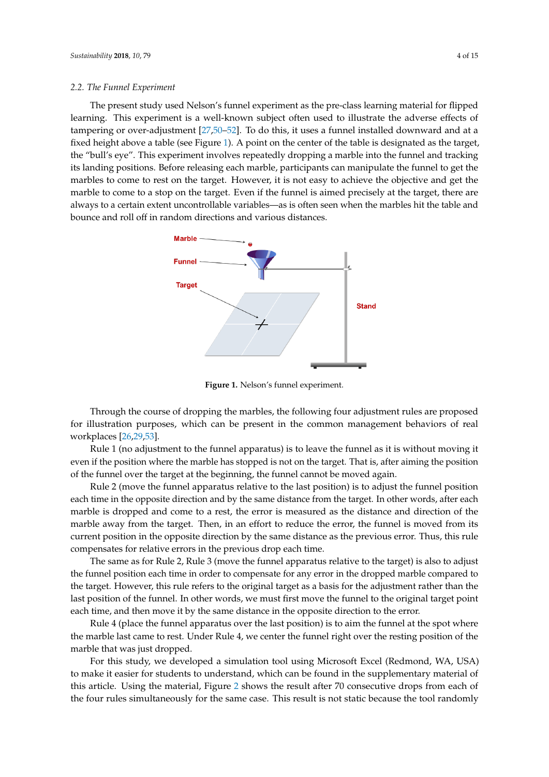The present study used Nelson's funnel experiment as the pre-class learning material for flipped learning. This experiment is a well-known subject often used to illustrate the adverse effects of tampering or over-adjustment [27[,50](#page-12-22)-52]. To do this, it uses a funnel installed downward and at a fixed height above a table (see Figure 1). A point on the center of the table is designated as the target, the "bull's eye". This experiment involves repeatedly dropping a marble into the funnel and tracking its landing positions. Before releasing each marble, participants can manipulate the funnel to get the marbles to come to rest on the target. However, it is not easy to achieve the objective and get the marble to come to a stop on the target. Even if the funnel is aimed precisely at the target, there are always to a certain extent uncontrollable variables—as is often seen when the marbles hit the table and bounce and roll off in random directions and various distances.

<span id="page-3-0"></span>

**Figure 1.** Nelson's funnel experiment. **Figure 1.** Nelson's funnel experiment.

For this study, we developed a simulation tool using Microsoft Excel (Redmond, WA, USA) to Through the course of dropping the marbles, the following four adjustment rules are proposed  $\mathbf{f}$ for illustration purposes, which can be present in the common management behaviors of real<br>  $\frac{1}{2}$ rules simultaneously for the same case. This result is not static because the tool randomly generates the tool randomly generates the tool randomly generates the tool randomly generates the tool randomly generates the too workplaces [\[26](#page-11-22)[,29](#page-12-2)[,53\]](#page-13-0).

Rule 1 (no adjustment to the funnel apparatus) is to leave the funnel as it is without moving it  $\mathbb{R}^n$ even if the position where the marble has stopped is not on the target. That is, after aiming the position  $\epsilon$ of the funnel over the target at the beginning, the funnel cannot be moved again.

Rule 2 (move the funnel apparatus relative to the last position) is to adjust the funnel position each time in the opposite direction and by the same distance from the target. In other words, after each marble is dropped and come to a rest, the error is measured as the distance and direction of the marble away from the target. Then, in an effort to reduce the error, the funnel is moved from its current position in the opposite direction by the same distance as the previous error. Thus, this rule compensates for relative errors in the previous drop each time.

The same as for Rule 2, Rule 3 (move the funnel apparatus relative to the target) is also to adjust the funnel position each time in order to compensate for any error in the dropped marble compared to the target. However, this rule refers to the original target as a basis for the adjustment rather than the last position of the funnel. In other words, we must first move the funnel to the original target point each time, and then move it by the same distance in the opposite direction to the error.

Rule 4 (place the funnel apparatus over the last position) is to aim the funnel at the spot where the marble last came to rest. Under Rule 4, we center the funnel right over the resting position of the marble that was just dropped.

For this study, we developed a simulation tool using Microsoft Excel (Redmond, WA, USA) to make it easier for students to understand, which can be found in the supplementary material of this article. Using the material, Figure [2](#page-4-0) shows the result after 70 consecutive drops from each of the four rules simultaneously for the same case. This result is not static because the tool randomly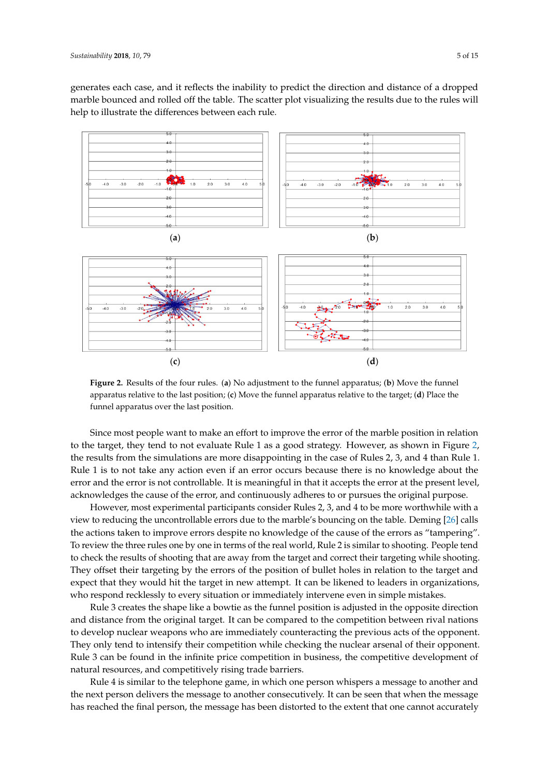generates each case, and it reflects the inability to predict the direction and distance of a dropped marble bounced and rolled off the table. The scatter plot visualizing the results due to the rules will help to illustrate the differences between each rule.

<span id="page-4-0"></span>

apparatus relative to the last position; (c) Move the funnel apparatus relative to the target; (d) Place the funnel apparatus over the last position. **Figure 2.** Results of the four rules. (**a**) No adjustment to the funnel apparatus; (**b**) Move the funnel

 $\sigma$  and  $\sigma$  are most experimental participants consider Rules 2, and 4 to be more worthwhile with with with  $\sigma$ Since most people want to make an effort to improve the error of the marble position in relation to the target, they tend to not evaluate Rule 1 as a good strategy. However, as shown in Figure [2,](#page-4-0) the results from the simulations are more disappointing in the case of Rules 2, 3, and 4 than Rule 1. Rule 1 is to not take any action even if an error occurs because there is no knowledge about the target and correct their target and correct their target and correct the target and correct the target and correct the target error and the error is not controllable. It is meaningful in that it accepts the error at the present level,<br>expansion of the controllable. It is meaningful in that it accepts the error at the present level, acknowledges the cause of the error, and continuously adheres to or pursues the original purpose.<br>It can be likely

However, most experimental participants consider Rules 2, 3, and 4 to be more worthwhile with a<br>However, most experimental participants consider Rules 2, 3, and 4 to be more worthwhile with a view to reducing the uncontrollable errors due to the marble's bouncing on the table. Deming [\[26\]](#page-11-22) calls<br>" the actions taken to improve errors despite no knowledge of the cause of the errors as "tampering".<br>The contract of the opposite direction is adjusted in the cause of the errors as "tampering". To review the three rules one by one in terms of the real world, Rule 2 is similar to shooting. People tend<br>The three rival national contract of the three rival is stated to show the competition of the three rivals is to check the results of shooting that are away from the target and correct their targeting while shooting.<br>The orientation of the opponent of the check the check that is a short of the check the check the check the ch They offset their targeting by the errors of the position of bullet holes in relation to the target and the target and expect that they would hit the target in new attempt. It can be likened to leaders in organizations,  $\frac{1}{2}$ who respond recklessly to every situation or immediately intervene even in simple mistakes.<br>Part of the computation of the computation of the computation in the computation of the computation of the compu

Rule 3 creates the shape like a bowtie as the funnel position is adjusted in the opposite direction is and the shape like a bowtie as the funnel position is adjusted in the opposite direction and distance from the original target. It can be compared to the competition between rival nations and the message of the message of the message of the message of the message of the message of the message of the message of to develop nuclear weapons who are immediately counteracting the previous acts of the opponent.<br>The cannot accurate that is connected to the cannot actual the cannot cannot be a set of the opponent. They only tend to intensify their competition while checking the nuclear arsenal of their opponent.<br>They only tend to intensify their competition while checking the nuclear arsenal of their opponent. Rule 3 can be found in the infinite price competition in business, the competitive development of Rule 3 can be required a complement are equated and the second and the instructors, instructors, instructors, instructors, in natural resources, and competitively rising trade barriers.

principal or standard or the original intent of the education will generate a message to another and the next person delivers the message to another consecutively. It can be seen that when the message  $\frac{1}{2}$ Rule 4 is similar to the telephone game, in which one person whispers a message to another and has reached the final person, the message has been distorted to the extent that one cannot accurately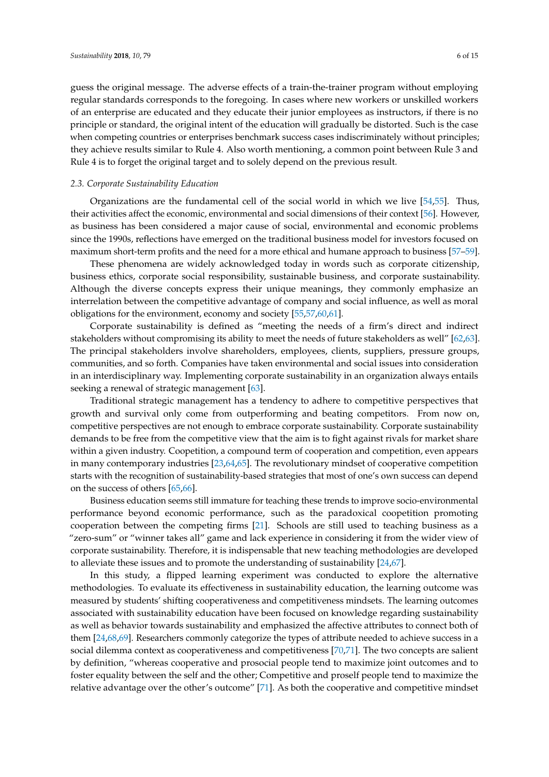guess the original message. The adverse effects of a train-the-trainer program without employing regular standards corresponds to the foregoing. In cases where new workers or unskilled workers of an enterprise are educated and they educate their junior employees as instructors, if there is no principle or standard, the original intent of the education will gradually be distorted. Such is the case when competing countries or enterprises benchmark success cases indiscriminately without principles; they achieve results similar to Rule 4. Also worth mentioning, a common point between Rule 3 and Rule 4 is to forget the original target and to solely depend on the previous result.

#### *2.3. Corporate Sustainability Education*

Organizations are the fundamental cell of the social world in which we live [\[54,](#page-13-1)[55\]](#page-13-2). Thus, their activities affect the economic, environmental and social dimensions of their context [\[56\]](#page-13-3). However, as business has been considered a major cause of social, environmental and economic problems since the 1990s, reflections have emerged on the traditional business model for investors focused on maximum short-term profits and the need for a more ethical and humane approach to business [\[57–](#page-13-4)[59\]](#page-13-5).

These phenomena are widely acknowledged today in words such as corporate citizenship, business ethics, corporate social responsibility, sustainable business, and corporate sustainability. Although the diverse concepts express their unique meanings, they commonly emphasize an interrelation between the competitive advantage of company and social influence, as well as moral obligations for the environment, economy and society [\[55](#page-13-2)[,57](#page-13-4)[,60](#page-13-6)[,61\]](#page-13-7).

Corporate sustainability is defined as "meeting the needs of a firm's direct and indirect stakeholders without compromising its ability to meet the needs of future stakeholders as well" [\[62](#page-13-8)[,63\]](#page-13-9). The principal stakeholders involve shareholders, employees, clients, suppliers, pressure groups, communities, and so forth. Companies have taken environmental and social issues into consideration in an interdisciplinary way. Implementing corporate sustainability in an organization always entails seeking a renewal of strategic management [\[63\]](#page-13-9).

Traditional strategic management has a tendency to adhere to competitive perspectives that growth and survival only come from outperforming and beating competitors. From now on, competitive perspectives are not enough to embrace corporate sustainability. Corporate sustainability demands to be free from the competitive view that the aim is to fight against rivals for market share within a given industry. Coopetition, a compound term of cooperation and competition, even appears in many contemporary industries [\[23](#page-11-19)[,64](#page-13-10)[,65\]](#page-13-11). The revolutionary mindset of cooperative competition starts with the recognition of sustainability-based strategies that most of one's own success can depend on the success of others [\[65](#page-13-11)[,66\]](#page-13-12).

Business education seems still immature for teaching these trends to improve socio-environmental performance beyond economic performance, such as the paradoxical coopetition promoting cooperation between the competing firms [\[21\]](#page-11-17). Schools are still used to teaching business as a "zero-sum" or "winner takes all" game and lack experience in considering it from the wider view of corporate sustainability. Therefore, it is indispensable that new teaching methodologies are developed to alleviate these issues and to promote the understanding of sustainability [\[24,](#page-11-20)[67\]](#page-13-13).

In this study, a flipped learning experiment was conducted to explore the alternative methodologies. To evaluate its effectiveness in sustainability education, the learning outcome was measured by students' shifting cooperativeness and competitiveness mindsets. The learning outcomes associated with sustainability education have been focused on knowledge regarding sustainability as well as behavior towards sustainability and emphasized the affective attributes to connect both of them [\[24](#page-11-20)[,68,](#page-13-14)[69\]](#page-13-15). Researchers commonly categorize the types of attribute needed to achieve success in a social dilemma context as cooperativeness and competitiveness [\[70](#page-13-16)[,71\]](#page-13-17). The two concepts are salient by definition, "whereas cooperative and prosocial people tend to maximize joint outcomes and to foster equality between the self and the other; Competitive and proself people tend to maximize the relative advantage over the other's outcome" [\[71\]](#page-13-17). As both the cooperative and competitive mindset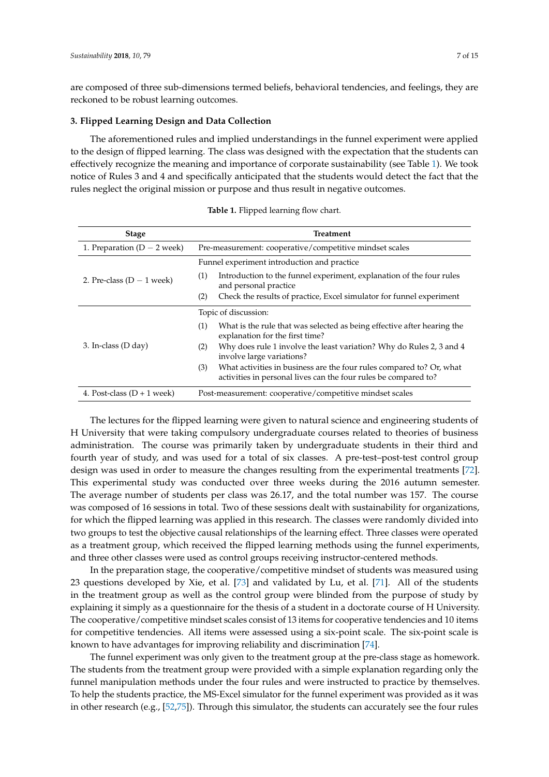are composed of three sub-dimensions termed beliefs, behavioral tendencies, and feelings, they are reckoned to be robust learning outcomes.

#### **3. Flipped Learning Design and Data Collection**

The aforementioned rules and implied understandings in the funnel experiment were applied to the design of flipped learning. The class was designed with the expectation that the students can effectively recognize the meaning and importance of corporate sustainability (see Table [1\)](#page-6-0). We took notice of Rules 3 and 4 and specifically anticipated that the students would detect the fact that the rules neglect the original mission or purpose and thus result in negative outcomes.

<span id="page-6-0"></span>

| <b>Stage</b>                  | <b>Treatment</b>                                                                                                                               |  |  |  |  |  |
|-------------------------------|------------------------------------------------------------------------------------------------------------------------------------------------|--|--|--|--|--|
| 1. Preparation $(D - 2$ week) | Pre-measurement: cooperative/competitive mindset scales                                                                                        |  |  |  |  |  |
| 2. Pre-class $(D - 1$ week)   | Funnel experiment introduction and practice                                                                                                    |  |  |  |  |  |
|                               | Introduction to the funnel experiment, explanation of the four rules<br>(1)<br>and personal practice                                           |  |  |  |  |  |
|                               | Check the results of practice, Excel simulator for funnel experiment<br>(2)                                                                    |  |  |  |  |  |
|                               | Topic of discussion:                                                                                                                           |  |  |  |  |  |
|                               | (1)<br>What is the rule that was selected as being effective after hearing the<br>explanation for the first time?                              |  |  |  |  |  |
| 3. In-class (D day)           | Why does rule 1 involve the least variation? Why do Rules 2, 3 and 4<br>(2)<br>involve large variations?                                       |  |  |  |  |  |
|                               | What activities in business are the four rules compared to? Or, what<br>(3)<br>activities in personal lives can the four rules be compared to? |  |  |  |  |  |
| 4. Post-class $(D + 1$ week)  | Post-measurement: cooperative/competitive mindset scales                                                                                       |  |  |  |  |  |

**Table 1.** Flipped learning flow chart.

The lectures for the flipped learning were given to natural science and engineering students of H University that were taking compulsory undergraduate courses related to theories of business administration. The course was primarily taken by undergraduate students in their third and fourth year of study, and was used for a total of six classes. A pre-test–post-test control group design was used in order to measure the changes resulting from the experimental treatments [\[72\]](#page-13-18). This experimental study was conducted over three weeks during the 2016 autumn semester. The average number of students per class was 26.17, and the total number was 157. The course was composed of 16 sessions in total. Two of these sessions dealt with sustainability for organizations, for which the flipped learning was applied in this research. The classes were randomly divided into two groups to test the objective causal relationships of the learning effect. Three classes were operated as a treatment group, which received the flipped learning methods using the funnel experiments, and three other classes were used as control groups receiving instructor-centered methods.

In the preparation stage, the cooperative/competitive mindset of students was measured using 23 questions developed by Xie, et al. [\[73\]](#page-13-19) and validated by Lu, et al. [\[71\]](#page-13-17). All of the students in the treatment group as well as the control group were blinded from the purpose of study by explaining it simply as a questionnaire for the thesis of a student in a doctorate course of H University. The cooperative/competitive mindset scales consist of 13 items for cooperative tendencies and 10 items for competitive tendencies. All items were assessed using a six-point scale. The six-point scale is known to have advantages for improving reliability and discrimination [\[74\]](#page-13-20).

The funnel experiment was only given to the treatment group at the pre-class stage as homework. The students from the treatment group were provided with a simple explanation regarding only the funnel manipulation methods under the four rules and were instructed to practice by themselves. To help the students practice, the MS-Excel simulator for the funnel experiment was provided as it was in other research (e.g., [\[52,](#page-12-23)[75\]](#page-13-21)). Through this simulator, the students can accurately see the four rules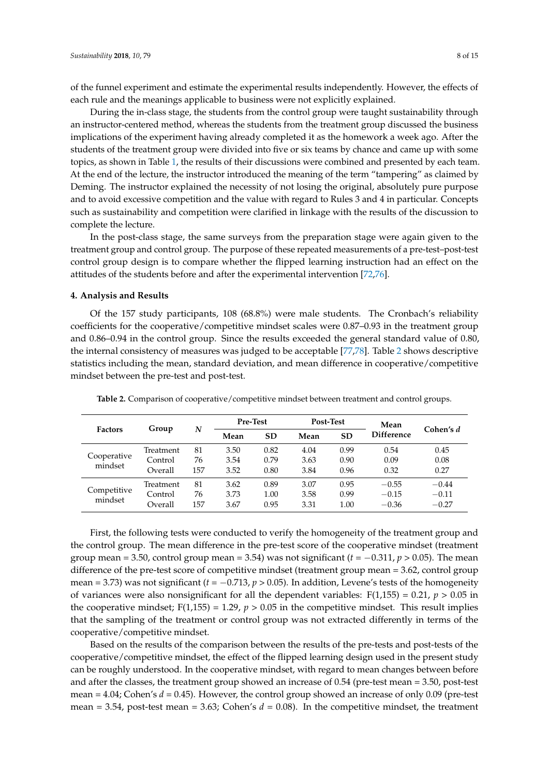of the funnel experiment and estimate the experimental results independently. However, the effects of each rule and the meanings applicable to business were not explicitly explained.

During the in-class stage, the students from the control group were taught sustainability through an instructor-centered method, whereas the students from the treatment group discussed the business implications of the experiment having already completed it as the homework a week ago. After the students of the treatment group were divided into five or six teams by chance and came up with some topics, as shown in Table [1,](#page-6-0) the results of their discussions were combined and presented by each team. At the end of the lecture, the instructor introduced the meaning of the term "tampering" as claimed by Deming. The instructor explained the necessity of not losing the original, absolutely pure purpose and to avoid excessive competition and the value with regard to Rules 3 and 4 in particular. Concepts such as sustainability and competition were clarified in linkage with the results of the discussion to complete the lecture.

In the post-class stage, the same surveys from the preparation stage were again given to the treatment group and control group. The purpose of these repeated measurements of a pre-test–post-test control group design is to compare whether the flipped learning instruction had an effect on the attitudes of the students before and after the experimental intervention [\[72](#page-13-18)[,76\]](#page-13-22).

#### **4. Analysis and Results**

Of the 157 study participants, 108 (68.8%) were male students. The Cronbach's reliability coefficients for the cooperative/competitive mindset scales were 0.87–0.93 in the treatment group and 0.86–0.94 in the control group. Since the results exceeded the general standard value of 0.80, the internal consistency of measures was judged to be acceptable [\[77](#page-13-23)[,78\]](#page-13-24). Table [2](#page-7-0) shows descriptive statistics including the mean, standard deviation, and mean difference in cooperative/competitive mindset between the pre-test and post-test.

| <b>Factors</b>         | Group                           | N               | <b>Pre-Test</b>      |                      | Post-Test            |                      | Mean                          |                               |
|------------------------|---------------------------------|-----------------|----------------------|----------------------|----------------------|----------------------|-------------------------------|-------------------------------|
|                        |                                 |                 | Mean                 | SD                   | Mean                 | <b>SD</b>            | <b>Difference</b>             | Cohen's d                     |
| Cooperative<br>mindset | Treatment<br>Control<br>Overall | 81<br>76<br>157 | 3.50<br>3.54<br>3.52 | 0.82<br>0.79<br>0.80 | 4.04<br>3.63<br>3.84 | 0.99<br>0.90<br>0.96 | 0.54<br>0.09<br>0.32          | 0.45<br>0.08<br>0.27          |
| Competitive<br>mindset | Treatment<br>Control<br>Overall | 81<br>76<br>157 | 3.62<br>3.73<br>3.67 | 0.89<br>1.00<br>0.95 | 3.07<br>3.58<br>3.31 | 0.95<br>0.99<br>1.00 | $-0.55$<br>$-0.15$<br>$-0.36$ | $-0.44$<br>$-0.11$<br>$-0.27$ |

<span id="page-7-0"></span>**Table 2.** Comparison of cooperative/competitive mindset between treatment and control groups.

First, the following tests were conducted to verify the homogeneity of the treatment group and the control group. The mean difference in the pre-test score of the cooperative mindset (treatment group mean = 3.50, control group mean = 3.54) was not significant  $(t = -0.311, p > 0.05)$ . The mean difference of the pre-test score of competitive mindset (treatment group mean = 3.62, control group mean = 3.73) was not significant ( $t = -0.713$ ,  $p > 0.05$ ). In addition, Levene's tests of the homogeneity of variances were also nonsignificant for all the dependent variables:  $F(1,155) = 0.21$ ,  $p > 0.05$  in the cooperative mindset;  $F(1,155) = 1.29$ ,  $p > 0.05$  in the competitive mindset. This result implies that the sampling of the treatment or control group was not extracted differently in terms of the cooperative/competitive mindset.

Based on the results of the comparison between the results of the pre-tests and post-tests of the cooperative/competitive mindset, the effect of the flipped learning design used in the present study can be roughly understood. In the cooperative mindset, with regard to mean changes between before and after the classes, the treatment group showed an increase of 0.54 (pre-test mean = 3.50, post-test mean = 4.04; Cohen's *d* = 0.45). However, the control group showed an increase of only 0.09 (pre-test mean = 3.54, post-test mean = 3.63; Cohen's  $d = 0.08$ ). In the competitive mindset, the treatment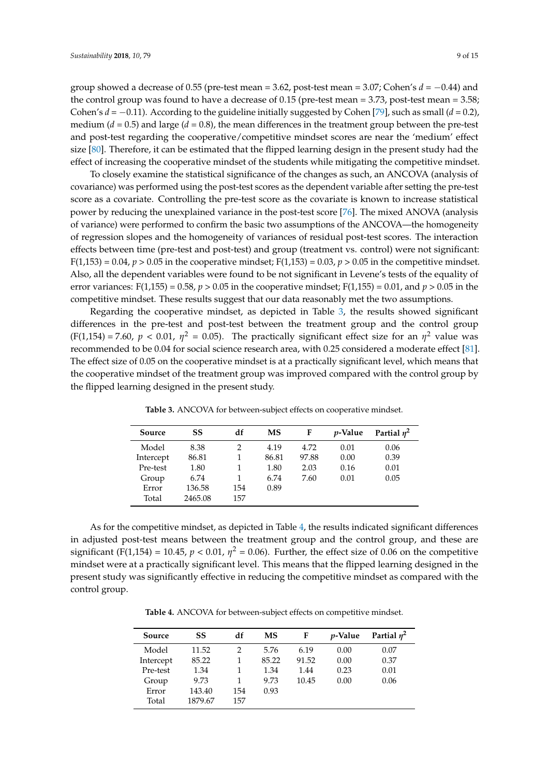group showed a decrease of 0.55 (pre-test mean = 3.62, post-test mean = 3.07; Cohen's  $d = -0.44$ ) and the control group was found to have a decrease of 0.15 (pre-test mean = 3.73, post-test mean = 3.58; Cohen's *d* = −0.11). According to the guideline initially suggested by Cohen [\[79\]](#page-13-25), such as small (*d* = 0.2), medium ( $d = 0.5$ ) and large ( $d = 0.8$ ), the mean differences in the treatment group between the pre-test and post-test regarding the cooperative/competitive mindset scores are near the 'medium' effect size [\[80\]](#page-14-0). Therefore, it can be estimated that the flipped learning design in the present study had the effect of increasing the cooperative mindset of the students while mitigating the competitive mindset.

To closely examine the statistical significance of the changes as such, an ANCOVA (analysis of covariance) was performed using the post-test scores as the dependent variable after setting the pre-test score as a covariate. Controlling the pre-test score as the covariate is known to increase statistical power by reducing the unexplained variance in the post-test score [\[76\]](#page-13-22). The mixed ANOVA (analysis of variance) were performed to confirm the basic two assumptions of the ANCOVA—the homogeneity of regression slopes and the homogeneity of variances of residual post-test scores. The interaction effects between time (pre-test and post-test) and group (treatment vs. control) were not significant:  $F(1,153) = 0.04$ ,  $p > 0.05$  in the cooperative mindset;  $F(1,153) = 0.03$ ,  $p > 0.05$  in the competitive mindset. Also, all the dependent variables were found to be not significant in Levene's tests of the equality of error variances: F(1,155) = 0.58,  $p > 0.05$  in the cooperative mindset; F(1,155) = 0.01, and  $p > 0.05$  in the competitive mindset. These results suggest that our data reasonably met the two assumptions.

Regarding the cooperative mindset, as depicted in Table [3,](#page-8-0) the results showed significant differences in the pre-test and post-test between the treatment group and the control group  $(F(1,154) = 7.60, p < 0.01, \eta^2 = 0.05)$ . The practically significant effect size for an  $\eta^2$  value was recommended to be 0.04 for social science research area, with 0.25 considered a moderate effect [\[81\]](#page-14-1). The effect size of 0.05 on the cooperative mindset is at a practically significant level, which means that the cooperative mindset of the treatment group was improved compared with the control group by the flipped learning designed in the present study.

<span id="page-8-0"></span>

| Source    | SS      | df  | MS    | F     | <i>p</i> -Value | Partial $\eta^2$ |
|-----------|---------|-----|-------|-------|-----------------|------------------|
| Model     | 8.38    | 2   | 4.19  | 4.72  | 0.01            | 0.06             |
| Intercept | 86.81   |     | 86.81 | 97.88 | 0.00            | 0.39             |
| Pre-test  | 1.80    |     | 1.80  | 2.03  | 0.16            | 0.01             |
| Group     | 6.74    |     | 6.74  | 7.60  | 0.01            | 0.05             |
| Error     | 136.58  | 154 | 0.89  |       |                 |                  |
| Total     | 2465.08 | 157 |       |       |                 |                  |

**Table 3.** ANCOVA for between-subject effects on cooperative mindset.

As for the competitive mindset, as depicted in Table [4,](#page-8-1) the results indicated significant differences in adjusted post-test means between the treatment group and the control group, and these are significant (F(1,154) = 10.45,  $p < 0.01$ ,  $\eta^2 = 0.06$ ). Further, the effect size of 0.06 on the competitive mindset were at a practically significant level. This means that the flipped learning designed in the present study was significantly effective in reducing the competitive mindset as compared with the control group.

**Table 4.** ANCOVA for between-subject effects on competitive mindset.

<span id="page-8-1"></span>

| Source    | SS      | df  | <b>MS</b> | F     | <i>v</i> -Value | Partial $\eta^2$ |
|-----------|---------|-----|-----------|-------|-----------------|------------------|
| Model     | 11.52   | 2   | 5.76      | 6.19  | 0.00            | 0.07             |
| Intercept | 85.22   | 1   | 85.22     | 91.52 | 0.00            | 0.37             |
| Pre-test  | 1.34    |     | 1.34      | 1.44  | 0.23            | 0.01             |
| Group     | 9.73    |     | 9.73      | 10.45 | 0.00            | 0.06             |
| Error     | 143.40  | 154 | 0.93      |       |                 |                  |
| Total     | 1879.67 | 157 |           |       |                 |                  |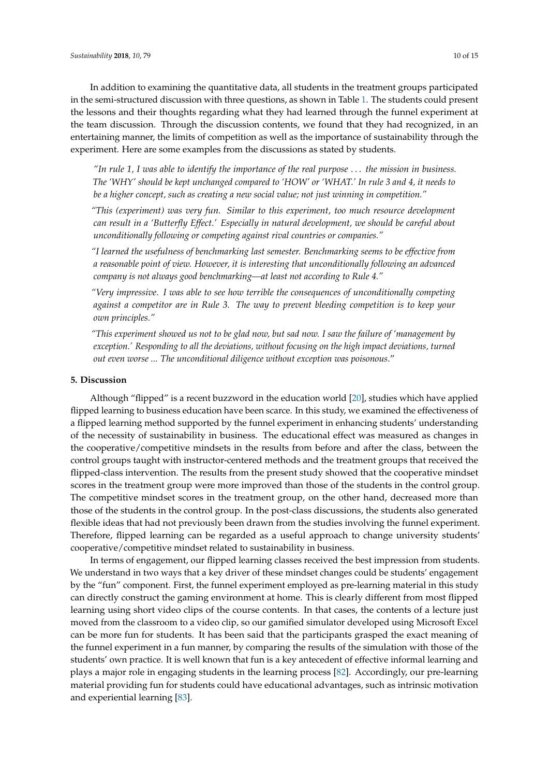In addition to examining the quantitative data, all students in the treatment groups participated in the semi-structured discussion with three questions, as shown in Table [1.](#page-6-0) The students could present the lessons and their thoughts regarding what they had learned through the funnel experiment at the team discussion. Through the discussion contents, we found that they had recognized, in an entertaining manner, the limits of competition as well as the importance of sustainability through the experiment. Here are some examples from the discussions as stated by students.

*"In rule 1, I was able to identify the importance of the real purpose* . . . *the mission in business. The 'WHY' should be kept unchanged compared to 'HOW' or 'WHAT.' In rule 3 and 4, it needs to be a higher concept, such as creating a new social value; not just winning in competition."*

*"This (experiment) was very fun. Similar to this experiment, too much resource development can result in a 'Butterfly Effect.' Especially in natural development, we should be careful about unconditionally following or competing against rival countries or companies."*

*"I learned the usefulness of benchmarking last semester. Benchmarking seems to be effective from a reasonable point of view. However, it is interesting that unconditionally following an advanced company is not always good benchmarking—at least not according to Rule 4."*

*"Very impressive. I was able to see how terrible the consequences of unconditionally competing against a competitor are in Rule 3. The way to prevent bleeding competition is to keep your own principles."*

*"This experiment showed us not to be glad now, but sad now. I saw the failure of 'management by exception.' Responding to all the deviations, without focusing on the high impact deviations, turned out even worse ... The unconditional diligence without exception was poisonous*."

#### **5. Discussion**

Although "flipped" is a recent buzzword in the education world [\[20\]](#page-11-16), studies which have applied flipped learning to business education have been scarce. In this study, we examined the effectiveness of a flipped learning method supported by the funnel experiment in enhancing students' understanding of the necessity of sustainability in business. The educational effect was measured as changes in the cooperative/competitive mindsets in the results from before and after the class, between the control groups taught with instructor-centered methods and the treatment groups that received the flipped-class intervention. The results from the present study showed that the cooperative mindset scores in the treatment group were more improved than those of the students in the control group. The competitive mindset scores in the treatment group, on the other hand, decreased more than those of the students in the control group. In the post-class discussions, the students also generated flexible ideas that had not previously been drawn from the studies involving the funnel experiment. Therefore, flipped learning can be regarded as a useful approach to change university students' cooperative/competitive mindset related to sustainability in business.

In terms of engagement, our flipped learning classes received the best impression from students. We understand in two ways that a key driver of these mindset changes could be students' engagement by the "fun" component. First, the funnel experiment employed as pre-learning material in this study can directly construct the gaming environment at home. This is clearly different from most flipped learning using short video clips of the course contents. In that cases, the contents of a lecture just moved from the classroom to a video clip, so our gamified simulator developed using Microsoft Excel can be more fun for students. It has been said that the participants grasped the exact meaning of the funnel experiment in a fun manner, by comparing the results of the simulation with those of the students' own practice. It is well known that fun is a key antecedent of effective informal learning and plays a major role in engaging students in the learning process [\[82\]](#page-14-2). Accordingly, our pre-learning material providing fun for students could have educational advantages, such as intrinsic motivation and experiential learning [\[83\]](#page-14-3).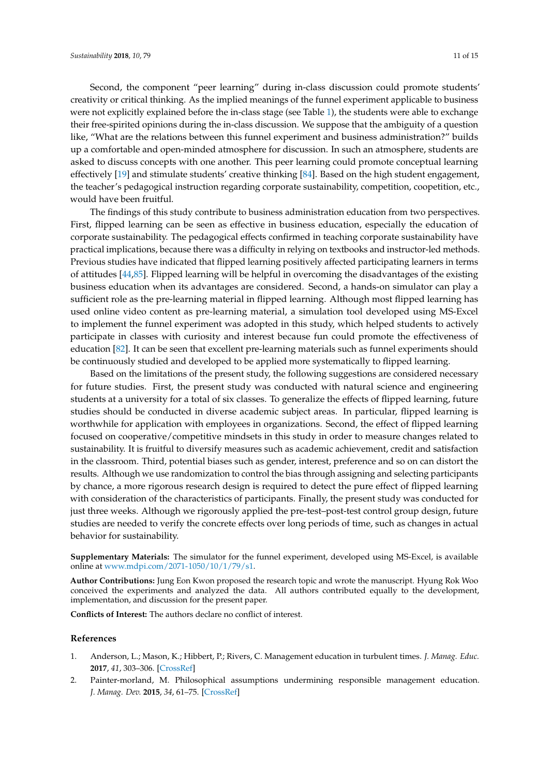Second, the component "peer learning" during in-class discussion could promote students' creativity or critical thinking. As the implied meanings of the funnel experiment applicable to business were not explicitly explained before the in-class stage (see Table [1\)](#page-6-0), the students were able to exchange their free-spirited opinions during the in-class discussion. We suppose that the ambiguity of a question like, "What are the relations between this funnel experiment and business administration?" builds up a comfortable and open-minded atmosphere for discussion. In such an atmosphere, students are asked to discuss concepts with one another. This peer learning could promote conceptual learning effectively [\[19\]](#page-11-15) and stimulate students' creative thinking [\[84\]](#page-14-4). Based on the high student engagement, the teacher's pedagogical instruction regarding corporate sustainability, competition, coopetition, etc., would have been fruitful.

The findings of this study contribute to business administration education from two perspectives. First, flipped learning can be seen as effective in business education, especially the education of corporate sustainability. The pedagogical effects confirmed in teaching corporate sustainability have practical implications, because there was a difficulty in relying on textbooks and instructor-led methods. Previous studies have indicated that flipped learning positively affected participating learners in terms of attitudes [\[44,](#page-12-16)[85\]](#page-14-5). Flipped learning will be helpful in overcoming the disadvantages of the existing business education when its advantages are considered. Second, a hands-on simulator can play a sufficient role as the pre-learning material in flipped learning. Although most flipped learning has used online video content as pre-learning material, a simulation tool developed using MS-Excel to implement the funnel experiment was adopted in this study, which helped students to actively participate in classes with curiosity and interest because fun could promote the effectiveness of education [\[82\]](#page-14-2). It can be seen that excellent pre-learning materials such as funnel experiments should be continuously studied and developed to be applied more systematically to flipped learning.

Based on the limitations of the present study, the following suggestions are considered necessary for future studies. First, the present study was conducted with natural science and engineering students at a university for a total of six classes. To generalize the effects of flipped learning, future studies should be conducted in diverse academic subject areas. In particular, flipped learning is worthwhile for application with employees in organizations. Second, the effect of flipped learning focused on cooperative/competitive mindsets in this study in order to measure changes related to sustainability. It is fruitful to diversify measures such as academic achievement, credit and satisfaction in the classroom. Third, potential biases such as gender, interest, preference and so on can distort the results. Although we use randomization to control the bias through assigning and selecting participants by chance, a more rigorous research design is required to detect the pure effect of flipped learning with consideration of the characteristics of participants. Finally, the present study was conducted for just three weeks. Although we rigorously applied the pre-test–post-test control group design, future studies are needed to verify the concrete effects over long periods of time, such as changes in actual behavior for sustainability.

**Supplementary Materials:** The simulator for the funnel experiment, developed using MS-Excel, is available online at [www.mdpi.com/2071-1050/10/1/79/s1.](www.mdpi.com/2071-1050/10/1/79/s1)

**Author Contributions:** Jung Eon Kwon proposed the research topic and wrote the manuscript. Hyung Rok Woo conceived the experiments and analyzed the data. All authors contributed equally to the development, implementation, and discussion for the present paper.

**Conflicts of Interest:** The authors declare no conflict of interest.

#### **References**

- <span id="page-10-0"></span>1. Anderson, L.; Mason, K.; Hibbert, P.; Rivers, C. Management education in turbulent times. *J. Manag. Educ.* **2017**, *41*, 303–306. [\[CrossRef\]](http://dx.doi.org/10.1177/1052562916682208)
- <span id="page-10-1"></span>2. Painter-morland, M. Philosophical assumptions undermining responsible management education. *J. Manag. Dev.* **2015**, *34*, 61–75. [\[CrossRef\]](http://dx.doi.org/10.1108/JMD-06-2014-0060)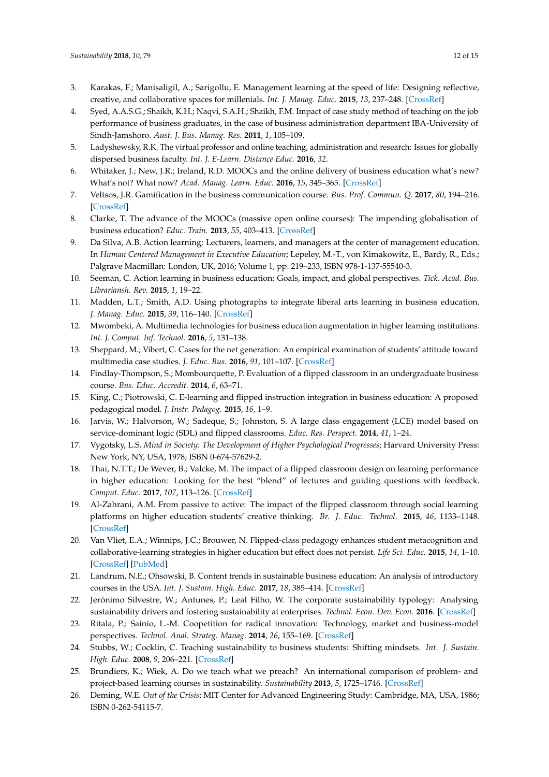- <span id="page-11-0"></span>3. Karakas, F.; Manisaligil, A.; Sarigollu, E. Management learning at the speed of life: Designing reflective, creative, and collaborative spaces for millenials. *Int. J. Manag. Educ.* **2015**, *13*, 237–248. [\[CrossRef\]](http://dx.doi.org/10.1016/j.ijme.2015.07.001)
- <span id="page-11-1"></span>4. Syed, A.A.S.G.; Shaikh, K.H.; Naqvi, S.A.H.; Shaikh, F.M. Impact of case study method of teaching on the job performance of business graduates, in the case of business administration department IBA-University of Sindh-Jamshoro. *Aust. J. Bus. Manag. Res.* **2011**, *1*, 105–109.
- <span id="page-11-2"></span>5. Ladyshewsky, R.K. The virtual professor and online teaching, administration and research: Issues for globally dispersed business faculty. *Int. J. E-Learn. Distance Educ.* **2016**, *32*.
- <span id="page-11-3"></span>6. Whitaker, J.; New, J.R.; Ireland, R.D. MOOCs and the online delivery of business education what's new? What's not? What now? *Acad. Manag. Learn. Educ.* **2016**, *15*, 345–365. [\[CrossRef\]](http://dx.doi.org/10.5465/amle.2013.0021)
- <span id="page-11-4"></span>7. Veltsos, J.R. Gamification in the business communication course. *Bus. Prof. Commun. Q.* **2017**, *80*, 194–216. [\[CrossRef\]](http://dx.doi.org/10.1177/2329490616676576)
- <span id="page-11-5"></span>8. Clarke, T. The advance of the MOOCs (massive open online courses): The impending globalisation of business education? *Educ. Train.* **2013**, *55*, 403–413. [\[CrossRef\]](http://dx.doi.org/10.1108/00400911311326036)
- <span id="page-11-6"></span>9. Da Silva, A.B. Action learning: Lecturers, learners, and managers at the center of management education. In *Human Centered Management in Executive Education*; Lepeley, M.-T., von Kimakowitz, E., Bardy, R., Eds.; Palgrave Macmillan: London, UK, 2016; Volume 1, pp. 219–233, ISBN 978-1-137-55540-3.
- <span id="page-11-7"></span>10. Seeman, C. Action learning in business education: Goals, impact, and global perspectives. *Tick. Acad. Bus. Librariansh. Rev.* **2015**, *1*, 19–22.
- <span id="page-11-8"></span>11. Madden, L.T.; Smith, A.D. Using photographs to integrate liberal arts learning in business education. *J. Manag. Educ.* **2015**, *39*, 116–140. [\[CrossRef\]](http://dx.doi.org/10.1177/1052562913512487)
- 12. Mwombeki, A. Multimedia technologies for business education augmentation in higher learning institutions. *Int. J. Comput. Inf. Technol.* **2016**, *5*, 131–138.
- <span id="page-11-9"></span>13. Sheppard, M.; Vibert, C. Cases for the net generation: An empirical examination of students' attitude toward multimedia case studies. *J. Educ. Bus.* **2016**, *91*, 101–107. [\[CrossRef\]](http://dx.doi.org/10.1080/08832323.2015.1128382)
- <span id="page-11-10"></span>14. Findlay-Thompson, S.; Mombourquette, P. Evaluation of a flipped classroom in an undergraduate business course. *Bus. Educ. Accredit.* **2014**, *6*, 63–71.
- <span id="page-11-11"></span>15. King, C.; Piotrowski, C. E-learning and flipped instruction integration in business education: A proposed pedagogical model. *J. Instr. Pedagog.* **2015**, *16*, 1–9.
- <span id="page-11-12"></span>16. Jarvis, W.; Halvorson, W.; Sadeque, S.; Johnston, S. A large class engagement (LCE) model based on service-dominant logic (SDL) and flipped classrooms. *Educ. Res. Perspect.* **2014**, *41*, 1–24.
- <span id="page-11-13"></span>17. Vygotsky, L.S. *Mind in Society: The Development of Higher Psychological Progresses*; Harvard University Press: New York, NY, USA, 1978; ISBN 0-674-57629-2.
- <span id="page-11-14"></span>18. Thai, N.T.T.; De Wever, B.; Valcke, M. The impact of a flipped classroom design on learning performance in higher education: Looking for the best "blend" of lectures and guiding questions with feedback. *Comput. Educ.* **2017**, *107*, 113–126. [\[CrossRef\]](http://dx.doi.org/10.1016/j.compedu.2017.01.003)
- <span id="page-11-15"></span>19. Al-Zahrani, A.M. From passive to active: The impact of the flipped classroom through social learning platforms on higher education students' creative thinking. *Br. J. Educ. Technol.* **2015**, *46*, 1133–1148. [\[CrossRef\]](http://dx.doi.org/10.1111/bjet.12353)
- <span id="page-11-16"></span>20. Van Vliet, E.A.; Winnips, J.C.; Brouwer, N. Flipped-class pedagogy enhances student metacognition and collaborative-learning strategies in higher education but effect does not persist. *Life Sci. Educ.* **2015**, *14*, 1–10. [\[CrossRef\]](http://dx.doi.org/10.1187/cbe.14-09-0141) [\[PubMed\]](http://www.ncbi.nlm.nih.gov/pubmed/26113628)
- <span id="page-11-17"></span>21. Landrum, N.E.; Ohsowski, B. Content trends in sustainable business education: An analysis of introductory courses in the USA. *Int. J. Sustain. High. Educ.* **2017**, *18*, 385–414. [\[CrossRef\]](http://dx.doi.org/10.1108/IJSHE-07-2016-0135)
- <span id="page-11-18"></span>22. Jerónimo Silvestre, W.; Antunes, P.; Leal Filho, W. The corporate sustainability typology: Analysing sustainability drivers and fostering sustainability at enterprises. *Technol. Econ. Dev. Econ.* **2016**. [\[CrossRef\]](http://dx.doi.org/10.3846/20294913.2016.1213199)
- <span id="page-11-19"></span>23. Ritala, P.; Sainio, L.-M. Coopetition for radical innovation: Technology, market and business-model perspectives. *Technol. Anal. Strateg. Manag.* **2014**, *26*, 155–169. [\[CrossRef\]](http://dx.doi.org/10.1080/09537325.2013.850476)
- <span id="page-11-20"></span>24. Stubbs, W.; Cocklin, C. Teaching sustainability to business students: Shifting mindsets. *Int. J. Sustain. High. Educ.* **2008**, *9*, 206–221. [\[CrossRef\]](http://dx.doi.org/10.1108/14676370810885844)
- <span id="page-11-21"></span>25. Brundiers, K.; Wiek, A. Do we teach what we preach? An international comparison of problem- and project-based learning courses in sustainability. *Sustainability* **2013**, *5*, 1725–1746. [\[CrossRef\]](http://dx.doi.org/10.3390/su5041725)
- <span id="page-11-22"></span>26. Deming, W.E. *Out of the Crisis*; MIT Center for Advanced Engineering Study: Cambridge, MA, USA, 1986; ISBN 0-262-54115-7.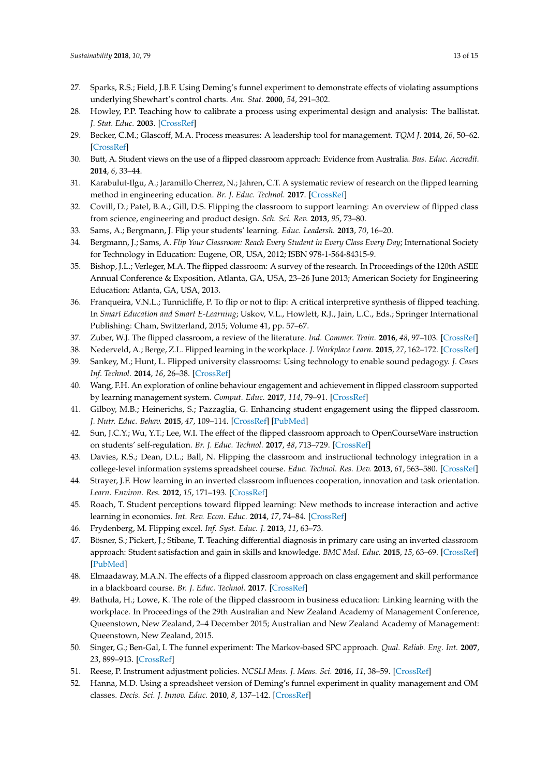- <span id="page-12-0"></span>27. Sparks, R.S.; Field, J.B.F. Using Deming's funnel experiment to demonstrate effects of violating assumptions underlying Shewhart's control charts. *Am. Stat.* **2000**, *54*, 291–302.
- <span id="page-12-1"></span>28. Howley, P.P. Teaching how to calibrate a process using experimental design and analysis: The ballistat. *J. Stat. Educ.* **2003**. [\[CrossRef\]](http://dx.doi.org/10.1080/10691898.2003.11910709)
- <span id="page-12-2"></span>29. Becker, C.M.; Glascoff, M.A. Process measures: A leadership tool for management. *TQM J.* **2014**, *26*, 50–62. [\[CrossRef\]](http://dx.doi.org/10.1108/TQM-02-2013-0018)
- <span id="page-12-3"></span>30. Butt, A. Student views on the use of a flipped classroom approach: Evidence from Australia. *Bus. Educ. Accredit.* **2014**, *6*, 33–44.
- <span id="page-12-4"></span>31. Karabulut-Ilgu, A.; Jaramillo Cherrez, N.; Jahren, C.T. A systematic review of research on the flipped learning method in engineering education. *Br. J. Educ. Technol.* **2017**. [\[CrossRef\]](http://dx.doi.org/10.1111/bjet.12548)
- <span id="page-12-5"></span>32. Covill, D.; Patel, B.A.; Gill, D.S. Flipping the classroom to support learning: An overview of flipped class from science, engineering and product design. *Sch. Sci. Rev.* **2013**, *95*, 73–80.
- <span id="page-12-6"></span>33. Sams, A.; Bergmann, J. Flip your students' learning. *Educ. Leadersh.* **2013**, *70*, 16–20.
- <span id="page-12-7"></span>34. Bergmann, J.; Sams, A. *Flip Your Classroom: Reach Every Student in Every Class Every Day*; International Society for Technology in Education: Eugene, OR, USA, 2012; ISBN 978-1-564-84315-9.
- <span id="page-12-8"></span>35. Bishop, J.L.; Verleger, M.A. The flipped classroom: A survey of the research. In Proceedings of the 120th ASEE Annual Conference & Exposition, Atlanta, GA, USA, 23–26 June 2013; American Society for Engineering Education: Atlanta, GA, USA, 2013.
- <span id="page-12-9"></span>36. Franqueira, V.N.L.; Tunnicliffe, P. To flip or not to flip: A critical interpretive synthesis of flipped teaching. In *Smart Education and Smart E-Learning*; Uskov, V.L., Howlett, R.J., Jain, L.C., Eds.; Springer International Publishing: Cham, Switzerland, 2015; Volume 41, pp. 57–67.
- <span id="page-12-10"></span>37. Zuber, W.J. The flipped classroom, a review of the literature. *Ind. Commer. Train.* **2016**, *48*, 97–103. [\[CrossRef\]](http://dx.doi.org/10.1108/ICT-05-2015-0039)
- <span id="page-12-11"></span>38. Nederveld, A.; Berge, Z.L. Flipped learning in the workplace. *J. Workplace Learn.* **2015**, *27*, 162–172. [\[CrossRef\]](http://dx.doi.org/10.1108/JWL-06-2014-0044)
- <span id="page-12-12"></span>39. Sankey, M.; Hunt, L. Flipped university classrooms: Using technology to enable sound pedagogy. *J. Cases Inf. Technol.* **2014**, *16*, 26–38. [\[CrossRef\]](http://dx.doi.org/10.4018/jcit.2014040103)
- 40. Wang, F.H. An exploration of online behaviour engagement and achievement in flipped classroom supported by learning management system. *Comput. Educ.* **2017**, *114*, 79–91. [\[CrossRef\]](http://dx.doi.org/10.1016/j.compedu.2017.06.012)
- <span id="page-12-13"></span>41. Gilboy, M.B.; Heinerichs, S.; Pazzaglia, G. Enhancing student engagement using the flipped classroom. *J. Nutr. Educ. Behav.* **2015**, *47*, 109–114. [\[CrossRef\]](http://dx.doi.org/10.1016/j.jneb.2014.08.008) [\[PubMed\]](http://www.ncbi.nlm.nih.gov/pubmed/25262529)
- <span id="page-12-14"></span>42. Sun, J.C.Y.; Wu, Y.T.; Lee, W.I. The effect of the flipped classroom approach to OpenCourseWare instruction on students' self-regulation. *Br. J. Educ. Technol.* **2017**, *48*, 713–729. [\[CrossRef\]](http://dx.doi.org/10.1111/bjet.12444)
- <span id="page-12-15"></span>43. Davies, R.S.; Dean, D.L.; Ball, N. Flipping the classroom and instructional technology integration in a college-level information systems spreadsheet course. *Educ. Technol. Res. Dev.* **2013**, *61*, 563–580. [\[CrossRef\]](http://dx.doi.org/10.1007/s11423-013-9305-6)
- <span id="page-12-16"></span>44. Strayer, J.F. How learning in an inverted classroom influences cooperation, innovation and task orientation. *Learn. Environ. Res.* **2012**, *15*, 171–193. [\[CrossRef\]](http://dx.doi.org/10.1007/s10984-012-9108-4)
- <span id="page-12-17"></span>45. Roach, T. Student perceptions toward flipped learning: New methods to increase interaction and active learning in economics. *Int. Rev. Econ. Educ.* **2014**, *17*, 74–84. [\[CrossRef\]](http://dx.doi.org/10.1016/j.iree.2014.08.003)
- <span id="page-12-18"></span>46. Frydenberg, M. Flipping excel. *Inf. Syst. Educ. J.* **2013**, *11*, 63–73.
- <span id="page-12-19"></span>47. Bösner, S.; Pickert, J.; Stibane, T. Teaching differential diagnosis in primary care using an inverted classroom approach: Student satisfaction and gain in skills and knowledge. *BMC Med. Educ.* **2015**, *15*, 63–69. [\[CrossRef\]](http://dx.doi.org/10.1186/s12909-015-0346-x) [\[PubMed\]](http://www.ncbi.nlm.nih.gov/pubmed/25879809)
- <span id="page-12-20"></span>48. Elmaadaway, M.A.N. The effects of a flipped classroom approach on class engagement and skill performance in a blackboard course. *Br. J. Educ. Technol.* **2017**. [\[CrossRef\]](http://dx.doi.org/10.1111/bjet.12553)
- <span id="page-12-21"></span>49. Bathula, H.; Lowe, K. The role of the flipped classroom in business education: Linking learning with the workplace. In Proceedings of the 29th Australian and New Zealand Academy of Management Conference, Queenstown, New Zealand, 2–4 December 2015; Australian and New Zealand Academy of Management: Queenstown, New Zealand, 2015.
- <span id="page-12-22"></span>50. Singer, G.; Ben-Gal, I. The funnel experiment: The Markov-based SPC approach. *Qual. Reliab. Eng. Int.* **2007**, *23*, 899–913. [\[CrossRef\]](http://dx.doi.org/10.1002/qre.852)
- 51. Reese, P. Instrument adjustment policies. *NCSLI Meas. J. Meas. Sci.* **2016**, *11*, 38–59. [\[CrossRef\]](http://dx.doi.org/10.1080/19315775.2016.1221681)
- <span id="page-12-23"></span>52. Hanna, M.D. Using a spreadsheet version of Deming's funnel experiment in quality management and OM classes. *Decis. Sci. J. Innov. Educ.* **2010**, *8*, 137–142. [\[CrossRef\]](http://dx.doi.org/10.1111/j.1540-4609.2009.00248.x)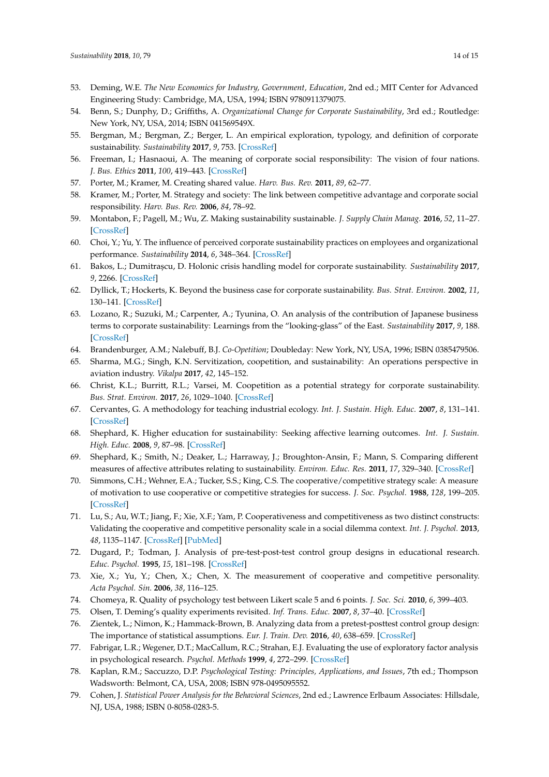- <span id="page-13-0"></span>53. Deming, W.E. *The New Economics for Industry, Government, Education*, 2nd ed.; MIT Center for Advanced Engineering Study: Cambridge, MA, USA, 1994; ISBN 9780911379075.
- <span id="page-13-1"></span>54. Benn, S.; Dunphy, D.; Griffiths, A. *Organizational Change for Corporate Sustainability*, 3rd ed.; Routledge: New York, NY, USA, 2014; ISBN 041569549X.
- <span id="page-13-2"></span>55. Bergman, M.; Bergman, Z.; Berger, L. An empirical exploration, typology, and definition of corporate sustainability. *Sustainability* **2017**, *9*, 753. [\[CrossRef\]](http://dx.doi.org/10.3390/su9050753)
- <span id="page-13-3"></span>56. Freeman, I.; Hasnaoui, A. The meaning of corporate social responsibility: The vision of four nations. *J. Bus. Ethics* **2011**, *100*, 419–443. [\[CrossRef\]](http://dx.doi.org/10.1007/s10551-010-0688-6)
- <span id="page-13-4"></span>57. Porter, M.; Kramer, M. Creating shared value. *Harv. Bus. Rev.* **2011**, *89*, 62–77.
- 58. Kramer, M.; Porter, M. Strategy and society: The link between competitive advantage and corporate social responsibility. *Harv. Bus. Rev.* **2006**, *84*, 78–92.
- <span id="page-13-5"></span>59. Montabon, F.; Pagell, M.; Wu, Z. Making sustainability sustainable. *J. Supply Chain Manag.* **2016**, *52*, 11–27. [\[CrossRef\]](http://dx.doi.org/10.1111/jscm.12103)
- <span id="page-13-6"></span>60. Choi, Y.; Yu, Y. The influence of perceived corporate sustainability practices on employees and organizational performance. *Sustainability* **2014**, *6*, 348–364. [\[CrossRef\]](http://dx.doi.org/10.3390/su6010348)
- <span id="page-13-7"></span>61. Bakos, L.; Dumitras, cu, D. Holonic crisis handling model for corporate sustainability. *Sustainability* **2017**, *9*, 2266. [\[CrossRef\]](http://dx.doi.org/10.3390/su9122266)
- <span id="page-13-8"></span>62. Dyllick, T.; Hockerts, K. Beyond the business case for corporate sustainability. *Bus. Strat. Environ.* **2002**, *11*, 130–141. [\[CrossRef\]](http://dx.doi.org/10.1002/bse.323)
- <span id="page-13-9"></span>63. Lozano, R.; Suzuki, M.; Carpenter, A.; Tyunina, O. An analysis of the contribution of Japanese business terms to corporate sustainability: Learnings from the "looking-glass" of the East. *Sustainability* **2017**, *9*, 188. [\[CrossRef\]](http://dx.doi.org/10.3390/su9020188)
- <span id="page-13-10"></span>64. Brandenburger, A.M.; Nalebuff, B.J. *Co-Opetition*; Doubleday: New York, NY, USA, 1996; ISBN 0385479506.
- <span id="page-13-11"></span>65. Sharma, M.G.; Singh, K.N. Servitization, coopetition, and sustainability: An operations perspective in aviation industry. *Vikalpa* **2017**, *42*, 145–152.
- <span id="page-13-12"></span>66. Christ, K.L.; Burritt, R.L.; Varsei, M. Coopetition as a potential strategy for corporate sustainability. *Bus. Strat. Environ.* **2017**, *26*, 1029–1040. [\[CrossRef\]](http://dx.doi.org/10.1002/bse.1967)
- <span id="page-13-13"></span>67. Cervantes, G. A methodology for teaching industrial ecology. *Int. J. Sustain. High. Educ.* **2007**, *8*, 131–141. [\[CrossRef\]](http://dx.doi.org/10.1108/14676370710726607)
- <span id="page-13-14"></span>68. Shephard, K. Higher education for sustainability: Seeking affective learning outcomes. *Int. J. Sustain. High. Educ.* **2008**, *9*, 87–98. [\[CrossRef\]](http://dx.doi.org/10.1108/14676370810842201)
- <span id="page-13-15"></span>69. Shephard, K.; Smith, N.; Deaker, L.; Harraway, J.; Broughton-Ansin, F.; Mann, S. Comparing different measures of affective attributes relating to sustainability. *Environ. Educ. Res.* **2011**, *17*, 329–340. [\[CrossRef\]](http://dx.doi.org/10.1080/13504622.2010.542450)
- <span id="page-13-16"></span>70. Simmons, C.H.; Wehner, E.A.; Tucker, S.S.; King, C.S. The cooperative/competitive strategy scale: A measure of motivation to use cooperative or competitive strategies for success. *J. Soc. Psychol.* **1988**, *128*, 199–205. [\[CrossRef\]](http://dx.doi.org/10.1080/00224545.1988.9711363)
- <span id="page-13-17"></span>71. Lu, S.; Au, W.T.; Jiang, F.; Xie, X.F.; Yam, P. Cooperativeness and competitiveness as two distinct constructs: Validating the cooperative and competitive personality scale in a social dilemma context. *Int. J. Psychol.* **2013**, *48*, 1135–1147. [\[CrossRef\]](http://dx.doi.org/10.1080/00207594.2012.743666) [\[PubMed\]](http://www.ncbi.nlm.nih.gov/pubmed/23145818)
- <span id="page-13-18"></span>72. Dugard, P.; Todman, J. Analysis of pre-test-post-test control group designs in educational research. *Educ. Psychol.* **1995**, *15*, 181–198. [\[CrossRef\]](http://dx.doi.org/10.1080/0144341950150207)
- <span id="page-13-19"></span>73. Xie, X.; Yu, Y.; Chen, X.; Chen, X. The measurement of cooperative and competitive personality. *Acta Psychol. Sin.* **2006**, *38*, 116–125.
- <span id="page-13-20"></span>74. Chomeya, R. Quality of psychology test between Likert scale 5 and 6 points. *J. Soc. Sci.* **2010**, *6*, 399–403.
- <span id="page-13-21"></span>75. Olsen, T. Deming's quality experiments revisited. *Inf. Trans. Educ.* **2007**, *8*, 37–40. [\[CrossRef\]](http://dx.doi.org/10.1287/ited.8.1.37)
- <span id="page-13-22"></span>76. Zientek, L.; Nimon, K.; Hammack-Brown, B. Analyzing data from a pretest-posttest control group design: The importance of statistical assumptions. *Eur. J. Train. Dev.* **2016**, *40*, 638–659. [\[CrossRef\]](http://dx.doi.org/10.1108/EJTD-08-2015-0066)
- <span id="page-13-23"></span>77. Fabrigar, L.R.; Wegener, D.T.; MacCallum, R.C.; Strahan, E.J. Evaluating the use of exploratory factor analysis in psychological research. *Psychol. Methods* **1999**, *4*, 272–299. [\[CrossRef\]](http://dx.doi.org/10.1037/1082-989X.4.3.272)
- <span id="page-13-24"></span>78. Kaplan, R.M.; Saccuzzo, D.P. *Psychological Testing: Principles, Applications, and Issues*, 7th ed.; Thompson Wadsworth: Belmont, CA, USA, 2008; ISBN 978-0495095552.
- <span id="page-13-25"></span>79. Cohen, J. *Statistical Power Analysis for the Behavioral Sciences*, 2nd ed.; Lawrence Erlbaum Associates: Hillsdale, NJ, USA, 1988; ISBN 0-8058-0283-5.